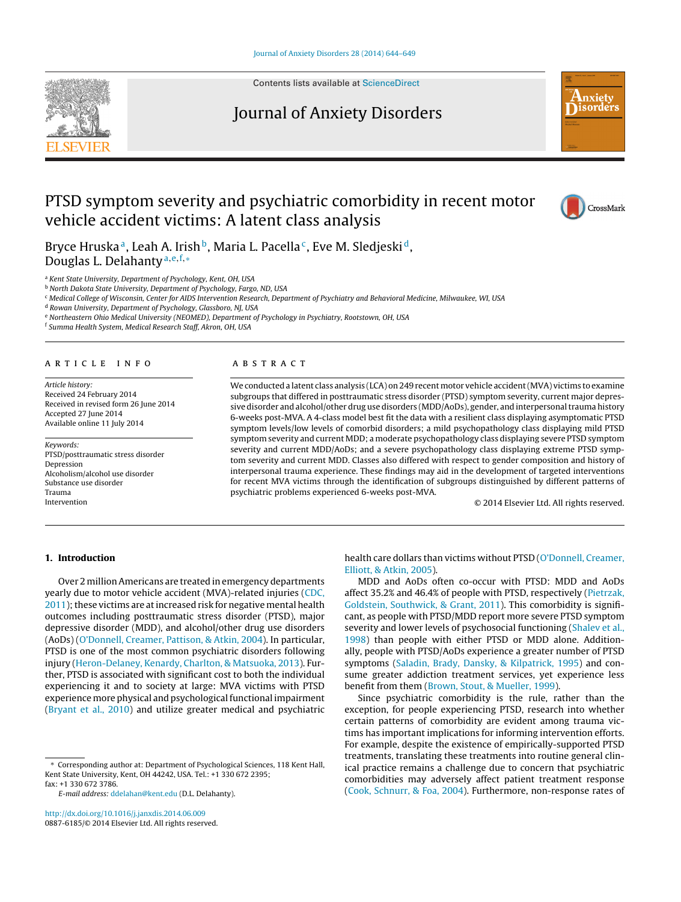

Contents lists available at [ScienceDirect](http://www.sciencedirect.com/science/journal/08876185)

# Journal of Anxiety Disorders



# PTSD symptom severity and psychiatric comorbidity in recent motor vehicle accident victims: A latent class analysis



Bryce Hruska<sup>a</sup>, Leah A. Irish<sup>b</sup>, Maria L. Pacella<sup>c</sup>, Eve M. Sledjeski<sup>d</sup>, Douglas L. Delahanty<sup>a,e,f,</sup>\*

<sup>a</sup> Kent State University, Department of Psychology, Kent, OH, USA

b North Dakota State University, Department of Psychology, Fargo, ND, USA

<sup>c</sup> Medical College of Wisconsin, Center for AIDS Intervention Research, Department of Psychiatry and Behavioral Medicine, Milwaukee, WI, USA

<sup>d</sup> Rowan University, Department of Psychology, Glassboro, NJ, USA

<sup>e</sup> Northeastern Ohio Medical University (NEOMED), Department of Psychology in Psychiatry, Rootstown, OH, USA

<sup>f</sup> Summa Health System, Medical Research Staff, Akron, OH, USA

#### a r t i c l e i n f o

Article history: Received 24 February 2014 Received in revised form 26 June 2014 Accepted 27 June 2014 Available online 11 July 2014

Keywords: PTSD/posttraumatic stress disorder Depression Alcoholism/alcohol use disorder Substance use disorder Trauma Intervention

#### A B S T R A C T

We conducted a latent class analysis (LCA) on 249 recent motor vehicle accident (MVA) victims to examine subgroups that differed in posttraumatic stress disorder (PTSD) symptom severity, current major depressive disorder and alcohol/other drug use disorders (MDD/AoDs), gender, and interpersonaltrauma history 6-weeks post-MVA. A 4-class model best fit the data with a resilient class displaying asymptomatic PTSD symptom levels/low levels of comorbid disorders; a mild psychopathology class displaying mild PTSD symptom severity and current MDD; a moderate psychopathology class displaying severe PTSD symptom severity and current MDD/AoDs; and a severe psychopathology class displaying extreme PTSD symptom severity and current MDD. Classes also differed with respect to gender composition and history of interpersonal trauma experience. These findings may aid in the development of targeted interventions for recent MVA victims through the identification of subgroups distinguished by different patterns of psychiatric problems experienced 6-weeks post-MVA.

© 2014 Elsevier Ltd. All rights reserved.

## **1. Introduction**

Over 2 millionAmericans are treated in emergency departments yearly due to motor vehicle accident (MVA)-related injuries ([CDC,](#page--1-0)  $2011$ ); these victims are at increased risk for negative mental health outcomes including posttraumatic stress disorder (PTSD), major depressive disorder (MDD), and alcohol/other drug use disorders (AoDs) ([O'Donnell,](#page--1-0) [Creamer,](#page--1-0) [Pattison,](#page--1-0) [&](#page--1-0) [Atkin,](#page--1-0) [2004\).](#page--1-0) In particular, PTSD is one of the most common psychiatric disorders following injury ([Heron-Delaney,](#page--1-0) [Kenardy,](#page--1-0) [Charlton,](#page--1-0) [&](#page--1-0) [Matsuoka,](#page--1-0) [2013\).](#page--1-0) Further, PTSD is associated with significant cost to both the individual experiencing it and to society at large: MVA victims with PTSD experience more physical and psychological functional impairment ([Bryant](#page--1-0) et [al.,](#page--1-0) [2010\)](#page--1-0) and utilize greater medical and psychiatric

[http://dx.doi.org/10.1016/j.janxdis.2014.06.009](dx.doi.org/10.1016/j.janxdis.2014.06.009) 0887-6185/© 2014 Elsevier Ltd. All rights reserved. health care dollars than victims without PTSD [\(O'Donnell,](#page--1-0) [Creamer,](#page--1-0) [Elliott,](#page--1-0) [&](#page--1-0) [Atkin,](#page--1-0) [2005\).](#page--1-0)

MDD and AoDs often co-occur with PTSD: MDD and AoDs affect 35.2% and 46.4% of people with PTSD, respectively ([Pietrzak,](#page--1-0) [Goldstein,](#page--1-0) [Southwick,](#page--1-0) [&](#page--1-0) [Grant,](#page--1-0) [2011\).](#page--1-0) This comorbidity is significant, as people with PTSD/MDD report more severe PTSD symptom severity and lower levels of psychosocial functioning [\(Shalev](#page--1-0) et [al.,](#page--1-0) [1998\)](#page--1-0) than people with either PTSD or MDD alone. Additionally, people with PTSD/AoDs experience a greater number of PTSD symptoms ([Saladin,](#page--1-0) [Brady,](#page--1-0) [Dansky,](#page--1-0) [&](#page--1-0) [Kilpatrick,](#page--1-0) [1995\)](#page--1-0) and consume greater addiction treatment services, yet experience less benefit from them [\(Brown,](#page--1-0) [Stout,](#page--1-0) [&](#page--1-0) [Mueller,](#page--1-0) [1999\).](#page--1-0)

Since psychiatric comorbidity is the rule, rather than the exception, for people experiencing PTSD, research into whether certain patterns of comorbidity are evident among trauma victims has important implications for informing intervention efforts. For example, despite the existence of empirically-supported PTSD treatments, translating these treatments into routine general clinical practice remains a challenge due to concern that psychiatric comorbidities may adversely affect patient treatment response [\(Cook,](#page--1-0) [Schnurr,](#page--1-0) [&](#page--1-0) [Foa,](#page--1-0) [2004\).](#page--1-0) Furthermore, non-response rates of

<sup>∗</sup> Corresponding author at: Department of Psychological Sciences, 118 Kent Hall, Kent State University, Kent, OH 44242, USA. Tel.: +1 330 672 2395; fax: +1 330 672 3786.

E-mail address: [ddelahan@kent.edu](mailto:ddelahan@kent.edu) (D.L. Delahanty).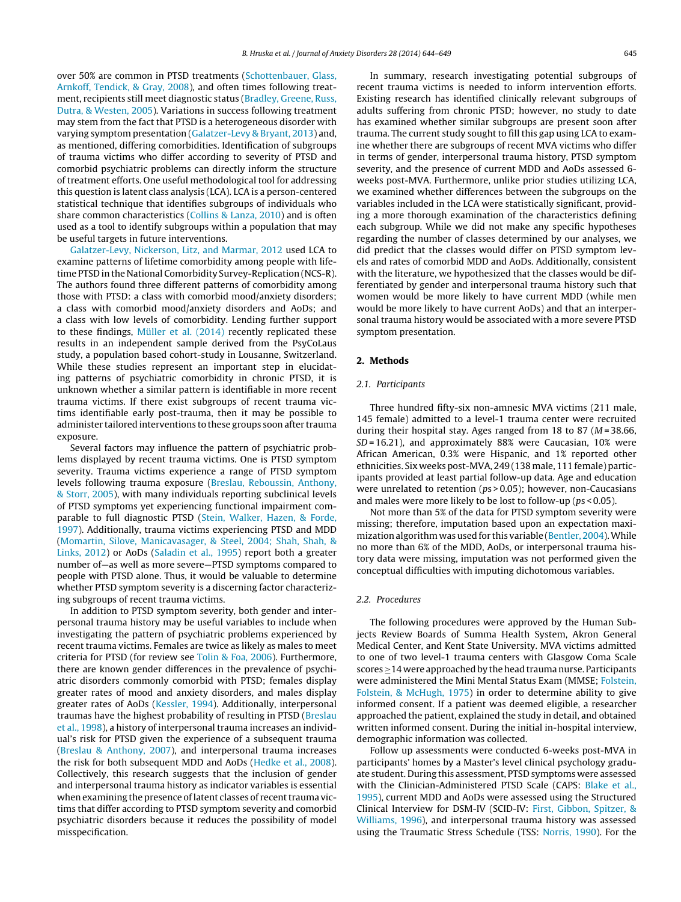over 50% are common in PTSD treatments [\(Schottenbauer,](#page--1-0) [Glass,](#page--1-0) [Arnkoff,](#page--1-0) [Tendick,](#page--1-0) [&](#page--1-0) [Gray,](#page--1-0) [2008\),](#page--1-0) and often times following treatment, recipients still meet diagnostic status [\(Bradley,](#page--1-0) [Greene,](#page--1-0) [Russ,](#page--1-0) [Dutra,](#page--1-0) [&](#page--1-0) [Westen,](#page--1-0) [2005\).](#page--1-0) Variations in success following treatment may stem from the fact that PTSD is a heterogeneous disorder with varying symptom presentation ([Galatzer-Levy](#page--1-0) [&](#page--1-0) [Bryant,](#page--1-0) [2013\)](#page--1-0) and, as mentioned, differing comorbidities. Identification of subgroups of trauma victims who differ according to severity of PTSD and comorbid psychiatric problems can directly inform the structure of treatment efforts. One useful methodological tool for addressing this question is latent class analysis (LCA). LCA is a person-centered statistical technique that identifies subgroups of individuals who share common characteristics [\(Collins](#page--1-0) [&](#page--1-0) [Lanza,](#page--1-0) [2010\)](#page--1-0) and is often used as a tool to identify subgroups within a population that may be useful targets in future interventions.

[Galatzer-Levy,](#page--1-0) [Nickerson,](#page--1-0) [Litz,](#page--1-0) [and](#page--1-0) [Marmar,](#page--1-0) [2012](#page--1-0) used LCA to examine patterns of lifetime comorbidity among people with lifetime PTSD in the National Comorbidity Survey-Replication (NCS-R). The authors found three different patterns of comorbidity among those with PTSD: a class with comorbid mood/anxiety disorders; a class with comorbid mood/anxiety disorders and AoDs; and a class with low levels of comorbidity. Lending further support to these findings, [Müller](#page--1-0) et [al.](#page--1-0) [\(2014\)](#page--1-0) recently replicated these results in an independent sample derived from the PsyCoLaus study, a population based cohort-study in Lousanne, Switzerland. While these studies represent an important step in elucidating patterns of psychiatric comorbidity in chronic PTSD, it is unknown whether a similar pattern is identifiable in more recent trauma victims. If there exist subgroups of recent trauma victims identifiable early post-trauma, then it may be possible to administer tailored interventions to these groups soon after trauma exposure.

Several factors may influence the pattern of psychiatric problems displayed by recent trauma victims. One is PTSD symptom severity. Trauma victims experience a range of PTSD symptom levels following trauma exposure [\(Breslau,](#page--1-0) [Reboussin,](#page--1-0) [Anthony,](#page--1-0) [&](#page--1-0) [Storr,](#page--1-0) [2005\),](#page--1-0) with many individuals reporting subclinical levels of PTSD symptoms yet experiencing functional impairment comparable to full diagnostic PTSD ([Stein,](#page--1-0) [Walker,](#page--1-0) [Hazen,](#page--1-0) [&](#page--1-0) [Forde,](#page--1-0) [1997\).](#page--1-0) Additionally, trauma victims experiencing PTSD and MDD ([Momartin,](#page--1-0) [Silove,](#page--1-0) [Manicavasager,](#page--1-0) [&](#page--1-0) [Steel,](#page--1-0) [2004;](#page--1-0) [Shah,](#page--1-0) [Shah,](#page--1-0) [&](#page--1-0) [Links,](#page--1-0) [2012\)](#page--1-0) or AoDs ([Saladin](#page--1-0) et [al.,](#page--1-0) [1995\)](#page--1-0) report both a greater number of—as well as more severe—PTSD symptoms compared to people with PTSD alone. Thus, it would be valuable to determine whether PTSD symptom severity is a discerning factor characterizing subgroups of recent trauma victims.

In addition to PTSD symptom severity, both gender and interpersonal trauma history may be useful variables to include when investigating the pattern of psychiatric problems experienced by recent trauma victims. Females are twice as likely as males to meet criteria for PTSD (for review see [Tolin](#page--1-0) [&](#page--1-0) [Foa,](#page--1-0) [2006\).](#page--1-0) Furthermore, there are known gender differences in the prevalence of psychiatric disorders commonly comorbid with PTSD; females display greater rates of mood and anxiety disorders, and males display greater rates of AoDs ([Kessler,](#page--1-0) [1994\).](#page--1-0) Additionally, interpersonal traumas have the highest probability of resulting in PTSD [\(Breslau](#page--1-0) et [al.,](#page--1-0) [1998\),](#page--1-0) a history of interpersonal trauma increases an individual's risk for PTSD given the experience of a subsequent trauma ([Breslau](#page--1-0) [&](#page--1-0) [Anthony,](#page--1-0) [2007\),](#page--1-0) and interpersonal trauma increases the risk for both subsequent MDD and AoDs ([Hedke](#page--1-0) et [al.,](#page--1-0) [2008\).](#page--1-0) Collectively, this research suggests that the inclusion of gender and interpersonal trauma history as indicator variables is essential when examining the presence of latent classes of recent trauma victims that differ according to PTSD symptom severity and comorbid psychiatric disorders because it reduces the possibility of model misspecification.

In summary, research investigating potential subgroups of recent trauma victims is needed to inform intervention efforts. Existing research has identified clinically relevant subgroups of adults suffering from chronic PTSD; however, no study to date has examined whether similar subgroups are present soon after trauma. The current study sought to fill this gap using LCA to examine whether there are subgroups of recent MVA victims who differ in terms of gender, interpersonal trauma history, PTSD symptom severity, and the presence of current MDD and AoDs assessed 6 weeks post-MVA. Furthermore, unlike prior studies utilizing LCA, we examined whether differences between the subgroups on the variables included in the LCA were statistically significant, providing a more thorough examination of the characteristics defining each subgroup. While we did not make any specific hypotheses regarding the number of classes determined by our analyses, we did predict that the classes would differ on PTSD symptom levels and rates of comorbid MDD and AoDs. Additionally, consistent with the literature, we hypothesized that the classes would be differentiated by gender and interpersonal trauma history such that women would be more likely to have current MDD (while men would be more likely to have current AoDs) and that an interpersonal trauma history would be associated with a more severe PTSD symptom presentation.

#### **2. Methods**

## 2.1. Participants

Three hundred fifty-six non-amnesic MVA victims (211 male, 145 female) admitted to a level-1 trauma center were recruited during their hospital stay. Ages ranged from 18 to 87 ( $M = 38.66$ ,  $SD = 16.21$ ), and approximately 88% were Caucasian, 10% were African American, 0.3% were Hispanic, and 1% reported other ethnicities. Six weeks post-MVA, 249 (138 male, 111 female) participants provided at least partial follow-up data. Age and education were unrelated to retention (ps > 0.05); however, non-Caucasians and males were more likely to be lost to follow-up (ps < 0.05).

Not more than 5% of the data for PTSD symptom severity were missing; therefore, imputation based upon an expectation maxi-mization algorithm was used for this variable [\(Bentler,](#page--1-0) [2004\).](#page--1-0) While no more than 6% of the MDD, AoDs, or interpersonal trauma history data were missing, imputation was not performed given the conceptual difficulties with imputing dichotomous variables.

## 2.2. Procedures

The following procedures were approved by the Human Subjects Review Boards of Summa Health System, Akron General Medical Center, and Kent State University. MVA victims admitted to one of two level-1 trauma centers with Glasgow Coma Scale scores  $\geq$  14 were approached by the head trauma nurse. Participants were administered the Mini Mental Status Exam (MMSE; [Folstein,](#page--1-0) [Folstein,](#page--1-0) [&](#page--1-0) [McHugh,](#page--1-0) [1975\)](#page--1-0) in order to determine ability to give informed consent. If a patient was deemed eligible, a researcher approached the patient, explained the study in detail, and obtained written informed consent. During the initial in-hospital interview, demographic information was collected.

Follow up assessments were conducted 6-weeks post-MVA in participants' homes by a Master's level clinical psychology graduate student. During this assessment, PTSD symptoms were assessed with the Clinician-Administered PTSD Scale (CAPS: [Blake](#page--1-0) et [al.,](#page--1-0) [1995\),](#page--1-0) current MDD and AoDs were assessed using the Structured Clinical Interview for DSM-IV (SCID-IV: [First,](#page--1-0) [Gibbon,](#page--1-0) [Spitzer,](#page--1-0) [&](#page--1-0) [Williams,](#page--1-0) [1996\),](#page--1-0) and interpersonal trauma history was assessed using the Traumatic Stress Schedule (TSS: [Norris,](#page--1-0) [1990\).](#page--1-0) For the